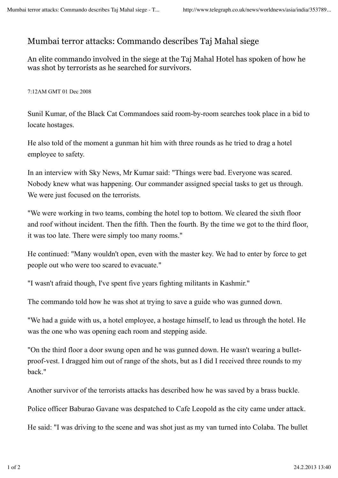## Mumbai terror attacks: Commando describes Taj Mahal siege

An elite commando involved in the siege at the Taj Mahal Hotel has spoken of how he was shot by terrorists as he searched for survivors.

7:12AM GMT 01 Dec 2008

Sunil Kumar, of the Black Cat Commandoes said room-by-room searches took place in a bid to locate hostages.

He also told of the moment a gunman hit him with three rounds as he tried to drag a hotel employee to safety.

In an interview with Sky News, Mr Kumar said: "Things were bad. Everyone was scared. Nobody knew what was happening. Our commander assigned special tasks to get us through. We were just focused on the terrorists.

"We were working in two teams, combing the hotel top to bottom. We cleared the sixth floor and roof without incident. Then the fifth. Then the fourth. By the time we got to the third floor, it was too late. There were simply too many rooms."

He continued: "Many wouldn't open, even with the master key. We had to enter by force to get people out who were too scared to evacuate."

"I wasn't afraid though, I've spent five years fighting militants in Kashmir."

The commando told how he was shot at trying to save a guide who was gunned down.

"We had a guide with us, a hotel employee, a hostage himself, to lead us through the hotel. He was the one who was opening each room and stepping aside.

"On the third floor a door swung open and he was gunned down. He wasn't wearing a bulletproof-vest. I dragged him out of range of the shots, but as I did I received three rounds to my back."

Another survivor of the terrorists attacks has described how he was saved by a brass buckle.

Police officer Baburao Gavane was despatched to Cafe Leopold as the city came under attack.

He said: "I was driving to the scene and was shot just as my van turned into Colaba. The bullet